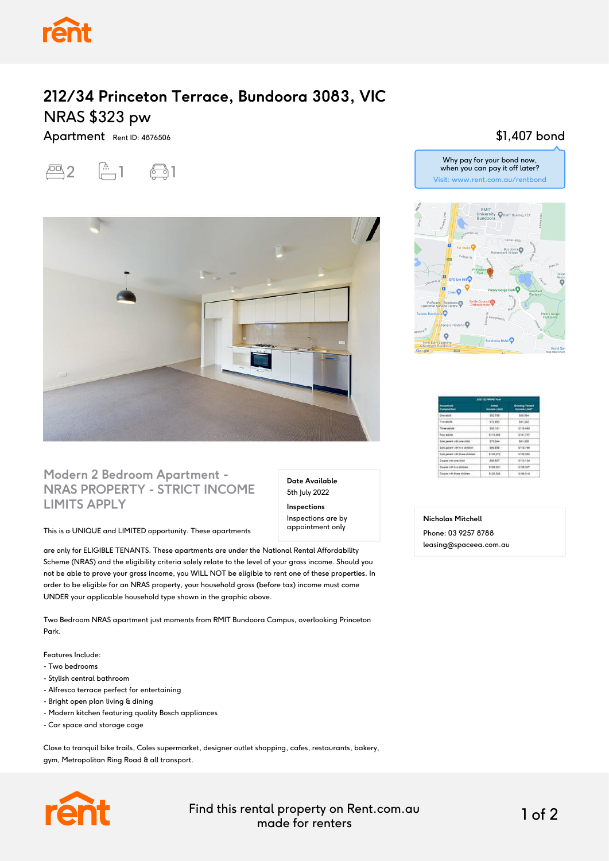

## **212/34 Princeton Terrace, Bundoora 3083, VIC** NRAS \$323 pw

Apartment Rent ID: 4876506





### **Modern 2 Bedroom Apartment - NRAS PROPERTY - STRICT INCOME LIMITS APPLY**

This is a UNIQUE and LIMITED opportunity. These apartments

are only for ELIGIBLE TENANTS. These apartments are under the National Rental Affordability Scheme (NRAS) and the eligibility criteria solely relate to the level of your gross income. Should you not be able to prove your gross income, you WILL NOT be eligible to rent one of these properties. In order to be eligible for an NRAS property, your household gross (before tax) income must come UNDER your applicable household type shown in the graphic above.

Two Bedroom NRAS apartment just moments from RMIT Bundoora Campus, overlooking Princeton Park.

Features Include:

- Two bedrooms
- Stylish central bathroom
- Alfresco terrace perfect for entertaining
- Bright open plan living & dining
- Modern kitchen featuring quality Bosch appliances
- Car space and storage cage

Close to tranquil bike trails, Coles supermarket, designer outlet shopping, cafes, restaurants, bakery, gym, Metropolitan Ring Road & all transport.



Find this rental property on Rent.com.au made for renters 1 of 2

**Date Available** 5th July 2022 **Inspections** Inspections are by appointment only

#### \$1,407 bond





| <b>HEL-22 MAAA Year</b>                |                     |                                                  |
|----------------------------------------|---------------------|--------------------------------------------------|
| <b>TOP</b> STATE<br>Composite          | <b>WANTED LANDS</b> | <b>Existing Tenant</b><br><b>Insurance Limit</b> |
| Die eld.                               | $-1017766$          | 101.954                                          |
| Top ability                            | 372,969             | MI 340                                           |
| <b>Tree about</b>                      | \$50,1811           | 2110,489                                         |
| <b>Tring telephone</b>                 | 1111, 189           | 1/41.737                                         |
| licia parent utili lota shire.         | <b>BTX-544</b>      | 891.308                                          |
| Son peer ulli his more.                | $-100.358$          | 2712.108                                         |
| <b>Sou parent utili fives children</b> | \$108,072           | \$138,000                                        |
| <b>Body Holly Adams</b>                | <b><i>INLNR</i></b> | 81118.454                                        |
| Course with five phisties.             | 2109.001            | \$108,007                                        |
| Couple 1991 Prize shiuten              | \$104,638           | \$1004,819                                       |

**Nicholas Mitchell**

Phone: 03 9257 8788 leasing@spaceea.com.au